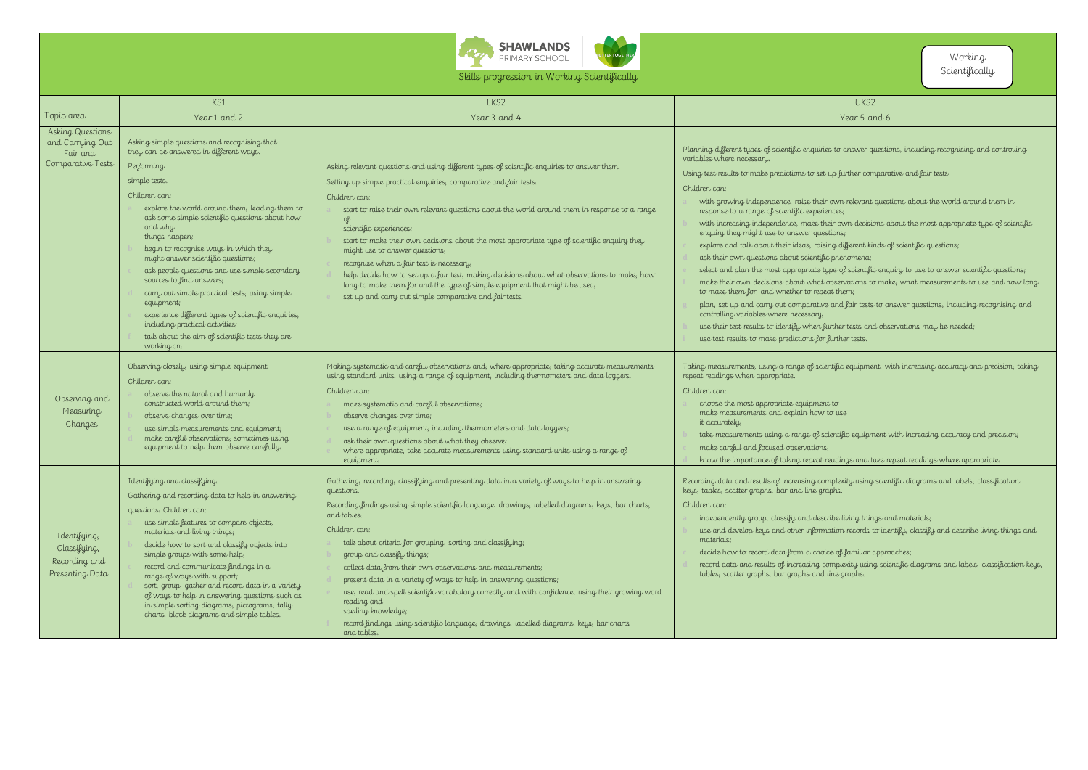



Skills progression in Working Scientifically

- $\dot{\rm s}$  cientific equipment with increasing accuracy and precision;
- 
- readings and take repeat readings where appropriate.
- omplexity using scientific diagrams and labels, classification iraphs. s
- **a** independently group, classify and describe living things and materials;
- mation records to identify, classify and describe living things and d
- $\sigma$  decay familiar appr<del>o</del>aches;
- **d** record data and results of increasing complexity using scientific diagrams and labels, classification keys,

|                                                                       | KS1                                                                                                                                                                                                                                                                                                                                                                                                                                                                                                                                                                                                                                                              | LKS2                                                                                                                                                                                                                                                                                                                                                                                                                                                                                                                                                                                                                                                                                                                                         | UKS2                                                                                                                                                                                                                                                                                                                                                                                                                                                                                                                                                                                                                                                                                                                                                                                                                                                                                                                                                  |
|-----------------------------------------------------------------------|------------------------------------------------------------------------------------------------------------------------------------------------------------------------------------------------------------------------------------------------------------------------------------------------------------------------------------------------------------------------------------------------------------------------------------------------------------------------------------------------------------------------------------------------------------------------------------------------------------------------------------------------------------------|----------------------------------------------------------------------------------------------------------------------------------------------------------------------------------------------------------------------------------------------------------------------------------------------------------------------------------------------------------------------------------------------------------------------------------------------------------------------------------------------------------------------------------------------------------------------------------------------------------------------------------------------------------------------------------------------------------------------------------------------|-------------------------------------------------------------------------------------------------------------------------------------------------------------------------------------------------------------------------------------------------------------------------------------------------------------------------------------------------------------------------------------------------------------------------------------------------------------------------------------------------------------------------------------------------------------------------------------------------------------------------------------------------------------------------------------------------------------------------------------------------------------------------------------------------------------------------------------------------------------------------------------------------------------------------------------------------------|
| <u>Topic area</u>                                                     | Year 1 and 2                                                                                                                                                                                                                                                                                                                                                                                                                                                                                                                                                                                                                                                     | Year 3 and 4                                                                                                                                                                                                                                                                                                                                                                                                                                                                                                                                                                                                                                                                                                                                 | Year 5 and 6                                                                                                                                                                                                                                                                                                                                                                                                                                                                                                                                                                                                                                                                                                                                                                                                                                                                                                                                          |
| Asking Questions<br>and Carrying Out<br>Fair and<br>Comparative Tests | Asking simple questions and recognising that<br>they can be answered in different ways.<br>Performing<br>simple tests.<br>Children can:<br>explore the world around them, leading them to<br>ask some simple scientific questions about how<br>and why<br>things happen;<br>begin to recognise ways in which they<br>might answer scientific questions;<br>ask people questions and use simple secondary<br>sources to find answers;<br>carry out simple practical tests, using simple<br>equipment;<br>experience different types of scientific enquiries,<br>including practical activities;<br>talk about the aim of scientific tests they are<br>working on. | Asking relevant questions and using different types of scientific enquiries to answer them.<br>Setting up simple practical enquiries, comparative and fair tests.<br>Children can:<br>start to raise their own relevant questions about the world around them in response to a range<br>of<br>scientific experiences;<br>start to make their own decisions about the most appropriate type of scientific enquiry they<br>might use to answer questions;<br>recognise when a fair test is necessary;<br>help decide how to set up a fair test, making decisions about what observations to make, how<br>long to make them for and the type of simple equipment that might be used;<br>set up and carry out simple comparative and fair tests. | Planning different types of scientific enquiries to answer questi<br>variables where necessary.<br>Using test results to make predictions to set up further compare<br>Children can:<br>with growing independence, raise their own relevant ques<br>response to a range of scientific experiences;<br>with increasing independence, make their own decisions of<br>enquiry they might use to answer questions;<br>explore and talk about their ideas, raising different kinds of<br>ask their own questions about scientific phenomena;<br>select and plan the most appropriate type of scientific eng<br>make their own decisions about what observations to ma<br>to make them for, and whether to repeat them;<br>plan, set up and carry out comparative and fair tests to a<br>controlling variables where necessary;<br>use their test results to identify when further tests and obs<br>use test results to make predictions for further tests. |
| Observing and<br>Measuring<br>Changes                                 | Observing closely, using simple equipment.<br>Children can:<br>observe the natural and humanly<br>constructed world around them;<br>observe changes over time;<br>use simple measurements and equipment;<br>make careful observations, sometimes using<br>equipment to help them observe carefully.                                                                                                                                                                                                                                                                                                                                                              | Making systematic and careful observations and, where appropriate, taking accurate measurements<br>using standard units, using a range of equipment, including thermometers and data loggers.<br>Children can:<br>make systematic and careful observations;<br>observe changes over time;<br>use a range of equipment, including thermometers and data loggers;<br>ask their own questions about what they observe;<br>where appropriate, take accurate measurements using standard units using a range of<br>equipment.                                                                                                                                                                                                                     | Taking measurements, using a range of scientific equipment, w<br>repeat readings when appropriate.<br>Children can:<br>choose the most appropriate equipment to<br>make measurements and explain how to use<br>it accurately;<br>take measurements using a range of scientific equipment<br>make careful and focused observations;<br>know the importance of taking repeat readings and take r                                                                                                                                                                                                                                                                                                                                                                                                                                                                                                                                                        |
| I dentifying,<br>Classifying,<br>Recording and<br>Presenting Data     | I dentifying and classifying.<br>Gathering and recording data to help in answering<br>questions. Children can:<br>use simple features to compare objects,<br>materials and living things;<br>decide how to sort and classify objects into<br>simple groups with some help;<br>record and communicate findings in a<br>range of ways with support;<br>sort, group, gather and record data in a variety<br>of ways to help in answering questions such as<br>in simple sorting diagrams, pictograms, tally<br>charts, block diagrams and simple tables.                                                                                                            | Gathering, recording, classifying and presenting data in a variety of ways to help in answering<br>questions.<br>Recording findings using simple scientific language, drawings, labelled diagrams, keys, bar charts,<br>and tables.<br>Children can:<br>talk about criteria for grouping, sorting and classifying;<br>group and classify things;<br>collect data from their own observations and measurements;<br>present data in a variety of ways to help in answering questions;<br>use, read and spell scientific vocabulary correctly and with confidence, using their growing word<br>reading and<br>spelling knowledge;<br>record findings using scientific language, drawings, labelled diagrams, keys, bar charts<br>and tables.    | Recording data and results of increasing complexity using scient<br>keys, tables, scatter graphs, bar and line graphs.<br>Children can:<br>independently group, classify and describe living things a<br>use and develop keys and other information records to ide<br>materials;<br>decide how to record data from a choice of familiar appro<br>record data and results of increasing complexity using sci<br>tables, scatter graphs, bar graphs and line graphs.                                                                                                                                                                                                                                                                                                                                                                                                                                                                                    |

## Working Scientifically

 $\dot m$  ries to answer questions, including recognising and controlling

t up further comparative and fair tests.

- $\dot{\mathit{a}}$  own relevant questions about the world around them in iences;
- their own decisions about the most appropriate type of scientific estions;
- ising d<u>iff</u>erent kinds of scientific questions;
- fic phenomena;
- type of scientific enquiry to use to answer scientific questions;
- f observations to make, what measurements to use and how long reat them;
- we and fair tests to answer questions, including recognising and  $\epsilon$
- further tests and observations may be needed;
- **i** further tests.

tientific equipment, with increasing accuracy and precision, taking